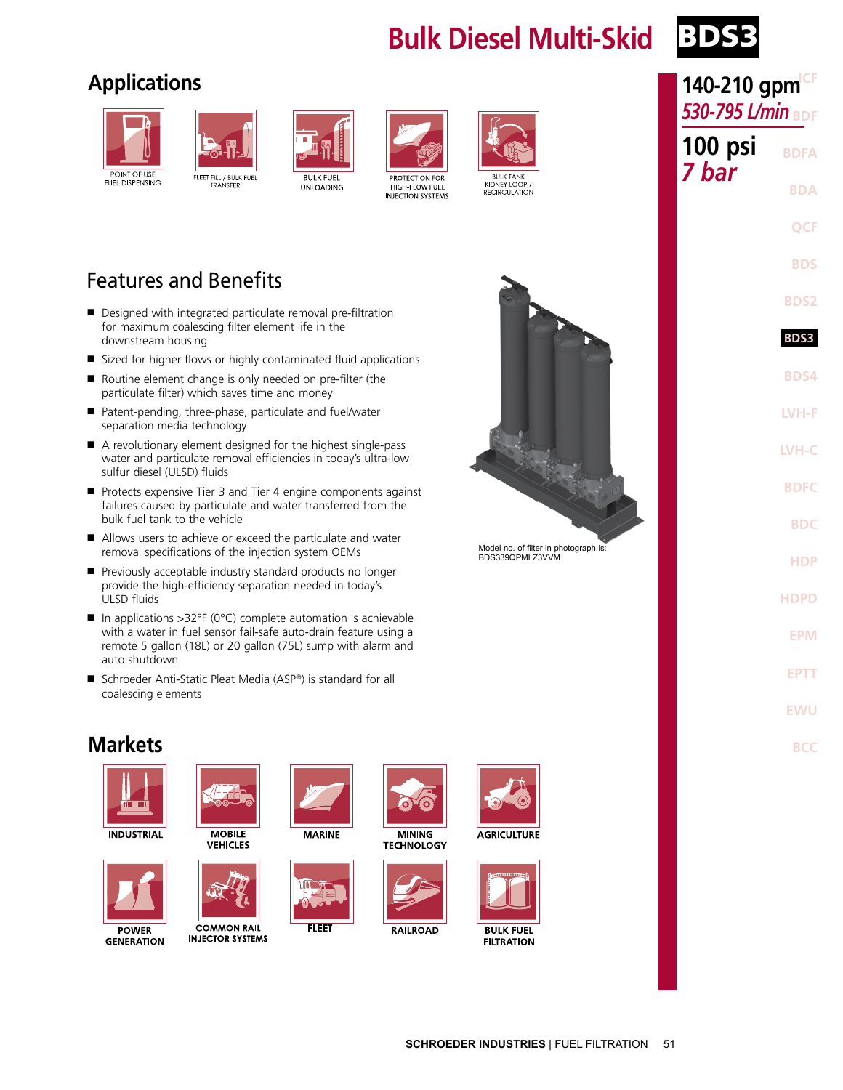## **Bulk Diesel Multi-Skid** BD



## **Applications**





FLEET FILL / BULK FUEL<br>TRANSFER





PROTECTION FOR HIGH-FLOW FUEL **INJECTION SYSTEMS** 





Model no. of filter in photograph is: BDS339QPMLZ3VVM

## Features and Benefits

- Designed with integrated particulate removal pre-filtration for maximum coalescing filter element life in the downstream housing
- Sized for higher flows or highly contaminated fluid applications
- Routine element change is only needed on pre-filter (the particulate filter) which saves time and money
- Patent-pending, three-phase, particulate and fuel/water separation media technology
- A revolutionary element designed for the highest single-pass water and particulate removal efficiencies in today's ultra-low sulfur diesel (ULSD) fluids
- Protects expensive Tier 3 and Tier 4 engine components against failures caused by particulate and water transferred from the bulk fuel tank to the vehicle
- Allows users to achieve or exceed the particulate and water removal specifications of the injection system OEMs
- Previously acceptable industry standard products no longer provide the high-efficiency separation needed in today's ULSD fluids
- In applications >32°F (0°C) complete automation is achievable with a water in fuel sensor fail-safe auto-drain feature using a remote 5 gallon (18L) or 20 gallon (75L) sump with alarm and auto shutdown
- Schroeder Anti-Static Pleat Media (ASP®) is standard for all coalescing elements





**INDUSTRIAL** 



**GENERATION** 



**MOBILE VEHICLES** 



**COMMON RAIL INJECTOR SYSTEMS** 



**FLEET** 







**RAILROAD** 



**AGRICULTURE** 



| 140-210 gpm <sup>cF</sup> |              |  |  |  |
|---------------------------|--------------|--|--|--|
| 530-795 L/min BDF         |              |  |  |  |
| 100 psi<br>7 bar          | <b>BDFA</b>  |  |  |  |
|                           | <b>BDA</b>   |  |  |  |
|                           | <b>QCF</b>   |  |  |  |
|                           | <b>BDS</b>   |  |  |  |
|                           | <b>BDS2</b>  |  |  |  |
|                           | <b>BDS3</b>  |  |  |  |
|                           | <b>BDS4</b>  |  |  |  |
|                           | LVH-F        |  |  |  |
|                           | <b>LVH-C</b> |  |  |  |
|                           | <b>BDFC</b>  |  |  |  |
|                           | <b>BDC</b>   |  |  |  |
|                           | <b>HDP</b>   |  |  |  |
|                           | <b>HDPD</b>  |  |  |  |
|                           | <b>EPM</b>   |  |  |  |
|                           | <b>EPTT</b>  |  |  |  |
|                           | EWU          |  |  |  |
|                           | BCC          |  |  |  |
|                           |              |  |  |  |
|                           |              |  |  |  |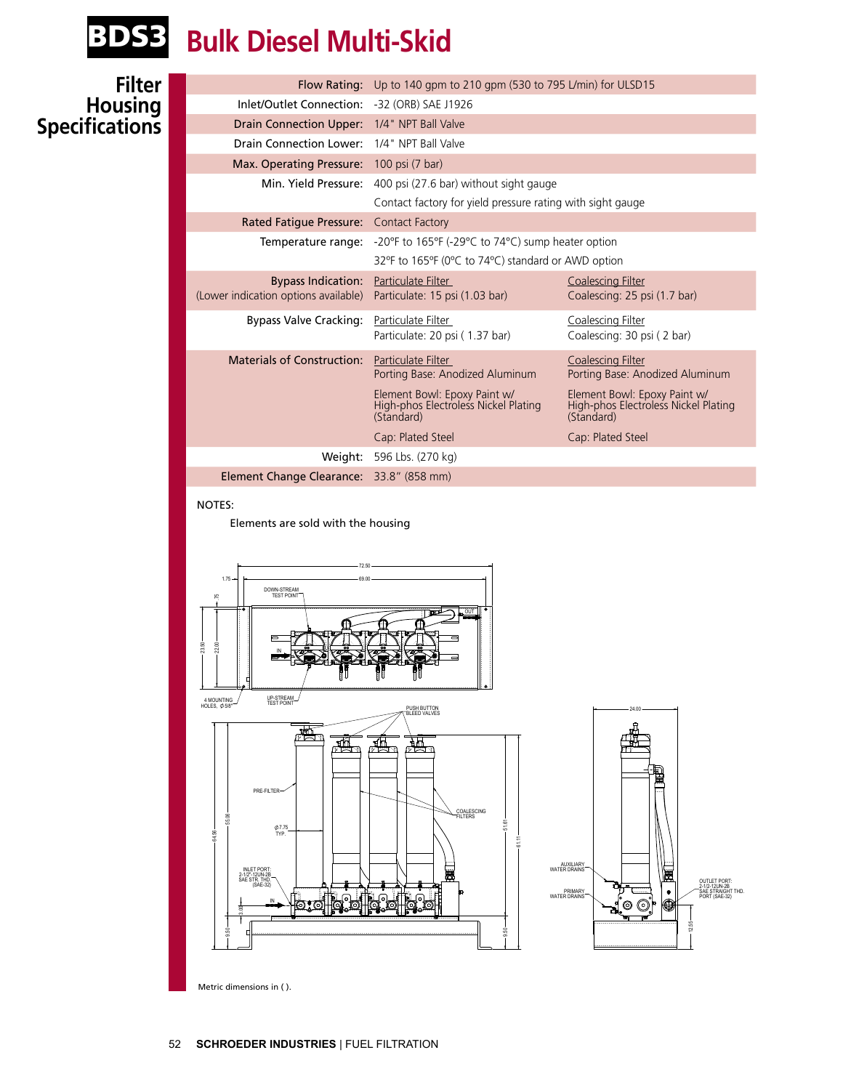

## BDS3 **Bulk Diesel Multi-Skid**

#### **Filter Housing Specifications**

|                                                    | Flow Rating: Up to 140 gpm to 210 gpm (530 to 795 L/min) for ULSD15                |                                                                                    |  |  |
|----------------------------------------------------|------------------------------------------------------------------------------------|------------------------------------------------------------------------------------|--|--|
| Inlet/Outlet Connection: -32 (ORB) SAE J1926       |                                                                                    |                                                                                    |  |  |
| Drain Connection Upper: 1/4" NPT Ball Valve        |                                                                                    |                                                                                    |  |  |
| <b>Drain Connection Lower: 1/4" NPT Ball Valve</b> |                                                                                    |                                                                                    |  |  |
| Max. Operating Pressure: 100 psi (7 bar)           |                                                                                    |                                                                                    |  |  |
|                                                    | Min. Yield Pressure: 400 psi (27.6 bar) without sight gauge                        |                                                                                    |  |  |
|                                                    | Contact factory for yield pressure rating with sight gauge                         |                                                                                    |  |  |
| Rated Fatique Pressure: Contact Factory            |                                                                                    |                                                                                    |  |  |
| Temperature range:                                 | -20°F to 165°F (-29°C to 74°C) sump heater option                                  |                                                                                    |  |  |
|                                                    | 32°F to 165°F (0°C to 74°C) standard or AWD option                                 |                                                                                    |  |  |
| <b>Bypass Indication:</b>                          | Particulate Filter                                                                 | <b>Coalescing Filter</b>                                                           |  |  |
| (Lower indication options available)               | Particulate: 15 psi (1.03 bar)                                                     | Coalescing: 25 psi (1.7 bar)                                                       |  |  |
| <b>Bypass Valve Cracking:</b>                      | Particulate Filter                                                                 | Coalescing Filter                                                                  |  |  |
|                                                    | Particulate: 20 psi (1.37 bar)                                                     | Coalescing: 30 psi (2 bar)                                                         |  |  |
| <b>Materials of Construction:</b>                  | Particulate Filter                                                                 | <b>Coalescing Filter</b>                                                           |  |  |
|                                                    | Porting Base: Anodized Aluminum                                                    | Porting Base: Anodized Aluminum                                                    |  |  |
|                                                    | Element Bowl: Epoxy Paint w/<br>High-phos Electroless Nickel Plating<br>(Standard) | Element Bowl: Epoxy Paint w/<br>High-phos Electroless Nickel Plating<br>(Standard) |  |  |
|                                                    | Cap: Plated Steel                                                                  | Cap: Plated Steel                                                                  |  |  |
| Weight:                                            | 596 Lbs. (270 kg)                                                                  |                                                                                    |  |  |
| <b>Element Change Clearance:</b> 33.8" (858 mm)    |                                                                                    |                                                                                    |  |  |

#### NOTES:

Elements are sold with the housing



Metric dimensions in ( ).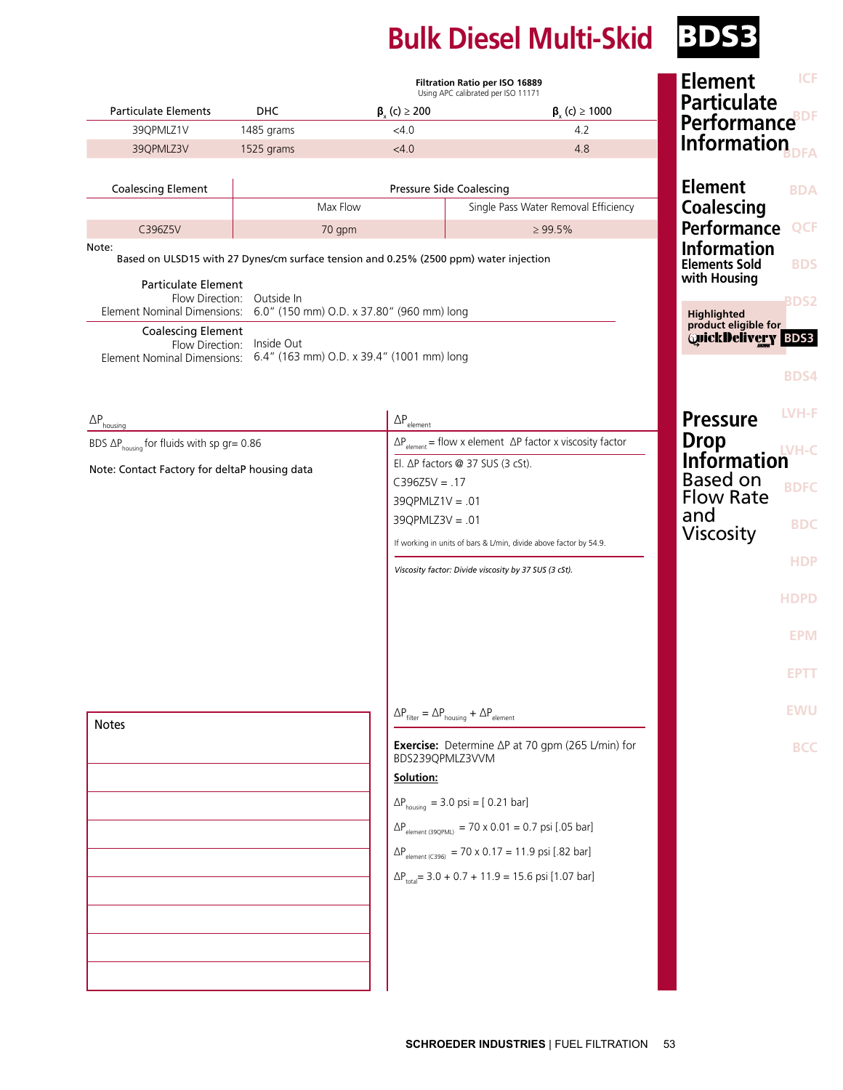# **Bulk Diesel Multi-Skid** BDSB

|                                                                                                                                                                            | Filtration Ratio per ISO 16889<br>Using APC calibrated per ISO 11171 |                               |                                                                                    | <b>ICF</b><br><b>Element</b>                                |  |
|----------------------------------------------------------------------------------------------------------------------------------------------------------------------------|----------------------------------------------------------------------|-------------------------------|------------------------------------------------------------------------------------|-------------------------------------------------------------|--|
| <b>Particulate Elements</b>                                                                                                                                                | DHC                                                                  | $\beta_{y}$ (c) $\geq$ 200    | $\beta_{y}$ (c) $\geq 1000$                                                        | <b>Particulate</b>                                          |  |
| 39QPMLZ1V                                                                                                                                                                  | 1485 grams                                                           | $<$ 4.0                       | 4.2                                                                                | <b>Performance</b> <sup>BDF</sup>                           |  |
| 39QPMLZ3V                                                                                                                                                                  | 1525 grams                                                           | < 4.0                         | 4.8                                                                                | <b>Information</b>                                          |  |
| <b>Coalescing Element</b>                                                                                                                                                  |                                                                      |                               | Pressure Side Coalescing                                                           | <b>Element</b><br><b>BDA</b>                                |  |
|                                                                                                                                                                            |                                                                      | Max Flow                      | Single Pass Water Removal Efficiency                                               | <b>Coalescing</b>                                           |  |
| C396Z5V                                                                                                                                                                    |                                                                      | 70 gpm                        | $\geq 99.5\%$                                                                      | <b>Performance</b><br><b>QCF</b>                            |  |
| <b>Information</b><br>Note:<br>Based on ULSD15 with 27 Dynes/cm surface tension and 0.25% (2500 ppm) water injection<br><b>Elements Sold</b><br><b>BDS</b>                 |                                                                      |                               |                                                                                    |                                                             |  |
| with Housing<br><b>Particulate Element</b><br>Flow Direction: Outside In<br>6.0" (150 mm) O.D. x 37.80" (960 mm) long<br>Element Nominal Dimensions:<br><b>Highlighted</b> |                                                                      |                               |                                                                                    |                                                             |  |
| <b>Coalescing Element</b><br>Flow Direction: Inside Out<br>Element Nominal Dimensions: 6.4" (163 mm) O.D. x 39.4" (1001 mm) long                                           |                                                                      |                               |                                                                                    | product eligible for<br><b>QuickDelivery</b><br><b>BDS3</b> |  |
|                                                                                                                                                                            |                                                                      |                               |                                                                                    | <b>BDS4</b>                                                 |  |
| $\Delta P_{\text{housing}}$                                                                                                                                                |                                                                      | $\Delta P_{\textrm{element}}$ |                                                                                    | LVH-F<br><b>Pressure</b>                                    |  |
| BDS $\Delta P_{\text{housing}}$ for fluids with sp gr= 0.86                                                                                                                |                                                                      |                               | $\Delta P_{\text{element}}$ = flow x element $\Delta P$ factor x viscosity factor  | <b>Drop</b><br>$IVH-C$                                      |  |
| Note: Contact Factory for deltaP housing data                                                                                                                              |                                                                      |                               | El. ΔP factors @ 37 SUS (3 cSt).                                                   | <b>Information</b>                                          |  |
|                                                                                                                                                                            |                                                                      | $C396Z5V = .17$               |                                                                                    | <b>Based on</b><br><b>BDFC</b><br><b>Flow Rate</b>          |  |
|                                                                                                                                                                            |                                                                      | $39Q$ PMLZ1V = .01            |                                                                                    | and                                                         |  |
|                                                                                                                                                                            |                                                                      | $39Q$ PMLZ $3V = .01$         |                                                                                    | <b>BDC</b><br><b>Viscosity</b>                              |  |
|                                                                                                                                                                            |                                                                      |                               | If working in units of bars & L/min, divide above factor by 54.9.                  | <b>HDP</b>                                                  |  |
| Viscosity factor: Divide viscosity by 37 SUS (3 cSt).                                                                                                                      |                                                                      |                               |                                                                                    |                                                             |  |
|                                                                                                                                                                            |                                                                      |                               |                                                                                    | <b>HDPD</b>                                                 |  |
|                                                                                                                                                                            |                                                                      |                               |                                                                                    | <b>EPM</b>                                                  |  |
|                                                                                                                                                                            |                                                                      |                               |                                                                                    | <b>EPTI</b>                                                 |  |
| <b>Notes</b>                                                                                                                                                               |                                                                      |                               | $\Delta P_{\text{filter}} = \Delta P_{\text{housing}} + \Delta P_{\text{element}}$ | <b>EWU</b>                                                  |  |
|                                                                                                                                                                            |                                                                      | BDS239QPMLZ3VVM<br>Solution:  | <b>Exercise:</b> Determine $\Delta P$ at 70 gpm (265 L/min) for                    | <b>BCC</b>                                                  |  |
|                                                                                                                                                                            |                                                                      |                               | $\Delta P_{\text{housing}} = 3.0 \text{ psi} = [0.21 \text{ bar}]$                 |                                                             |  |
|                                                                                                                                                                            |                                                                      |                               | $\Delta P_{\text{element (390PML)}} = 70 \times 0.01 = 0.7 \text{ psi}$ [.05 bar]  |                                                             |  |
|                                                                                                                                                                            |                                                                      |                               | $\Delta P_{\text{element (C396)}} = 70 \times 0.17 = 11.9 \text{ psi}$ [.82 bar]   |                                                             |  |
|                                                                                                                                                                            |                                                                      |                               |                                                                                    |                                                             |  |
|                                                                                                                                                                            |                                                                      |                               | $\Delta P_{\text{total}}$ = 3.0 + 0.7 + 11.9 = 15.6 psi [1.07 bar]                 |                                                             |  |
|                                                                                                                                                                            |                                                                      |                               |                                                                                    |                                                             |  |
|                                                                                                                                                                            |                                                                      |                               |                                                                                    |                                                             |  |
|                                                                                                                                                                            |                                                                      |                               |                                                                                    |                                                             |  |
|                                                                                                                                                                            |                                                                      |                               |                                                                                    |                                                             |  |
|                                                                                                                                                                            |                                                                      |                               |                                                                                    |                                                             |  |